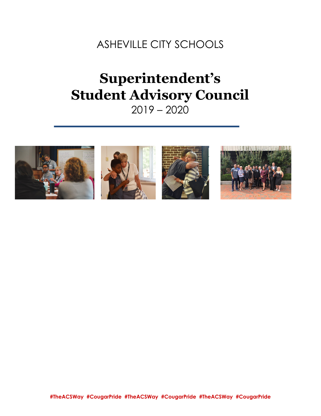ASHEVILLE CITY SCHOOLS

# **Superintendent's Student Advisory Council** 2019 – 2020



**#TheACSWay #CougarPride #TheACSWay #CougarPride #TheACSWay #CougarPride**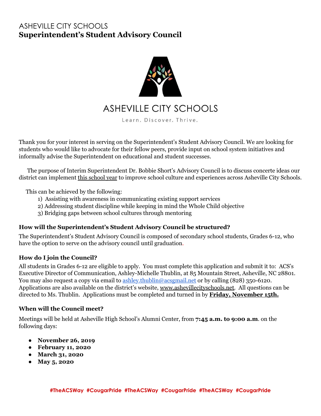## ASHEVILLE CITY SCHOOLS **Superintendent's Student Advisory Council**



Thank you for your interest in serving on the Superintendent's Student Advisory Council. We are looking for students who would like to advocate for their fellow peers, provide input on school system initiatives and informally advise the Superintendent on educational and student successes.

The purpose of Interim Superintendent Dr. Bobbie Short's Advisory Council is to discuss concerte ideas our district can implement this school year to improve school culture and experiences across Asheville City Schools.

This can be achieved by the following:

- 1) Assisting with awareness in communicating existing support services
- 2) Addressing student discipline while keeping in mind the Whole Child objective
- 3) Bridging gaps between school cultures through mentoring

#### **How will the Superintendent's Student Advisory Council be structured?**

The Superintendent's Student Advisory Council is composed of secondary school students, Grades 6-12, who have the option to serve on the advisory council until graduation.

#### **How do I join the Council?**

All students in Grades 6-12 are eligible to apply. You must complete this application and submit it to: ACS's Executive Director of Communication, Ashley-Michelle Thublin, at 85 Mountain Street, Asheville, NC 28801. You may also request a copy via email to [ashley.thublin@acsgmail.net](mailto:ashley.thublin@acsgmail.net) or by calling (828) 350-6120. Applications are also available on the district's website, [www.ashevillecityschools.net.](http://www.ashevillecityschools.net/) All questions can be directed to Ms. Thublin. Applications must be completed and turned in by **Friday, November 15th.**

#### **When will the Council meet?**

Meetings will be held at Asheville High School's Alumni Center, from **7:45 a.m. to 9:00 a.m**. on the following days:

- **● November 26, 2019**
- **● February 11, 2020**
- **● March 31, 2020**
- **● May 5, 2020**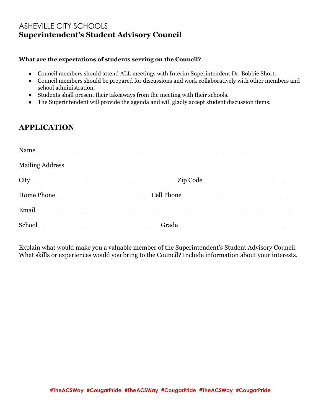## ASHEVILLE CITY SCHOOLS **Superintendent's Student Advisory Council**

#### **What are the expectations of students serving on the Council?**

- Council members should attend ALL meetings with Interim Superintendent Dr. Bobbie Short.
- Council members should be prepared for discussions and work collaboratively with other members and school administration.
- Students shall present their takeaways from the meeting with their schools.
- The Superintendent will provide the agenda and will gladly accept student discussion items.

### **APPLICATION**

| Name       |       |  |
|------------|-------|--|
|            |       |  |
|            |       |  |
| Home Phone |       |  |
|            |       |  |
|            | Grade |  |

Explain what would make you a valuable member of the Superintendent's Student Advisory Council. What skills or experiences would you bring to the Council? Include information about your interests.